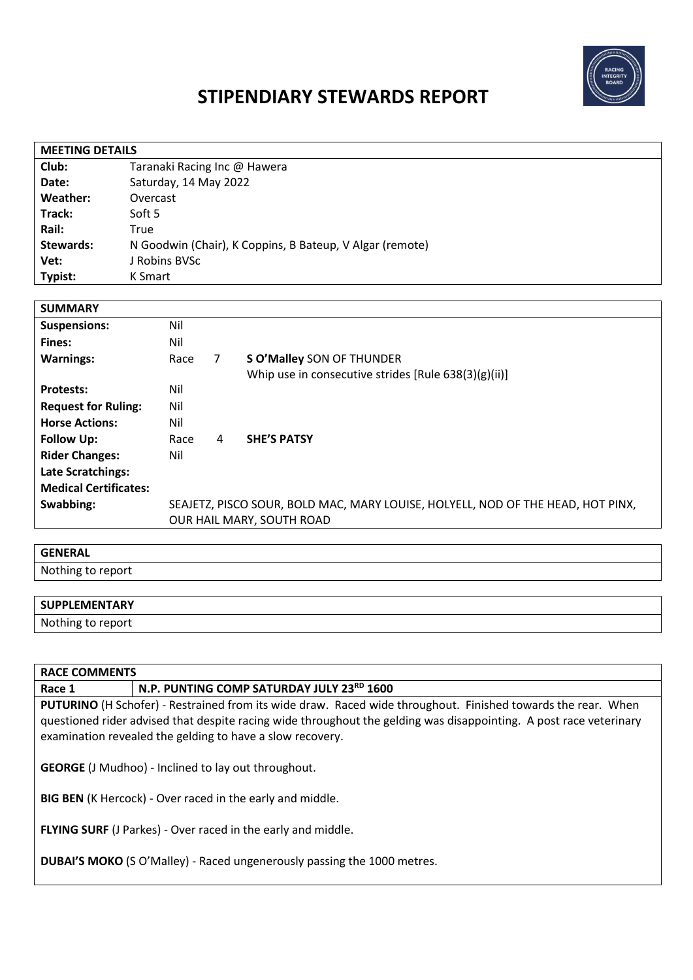

# **STIPENDIARY STEWARDS REPORT**

| <b>MEETING DETAILS</b>       |                                                                                 |      |                |                                                      |
|------------------------------|---------------------------------------------------------------------------------|------|----------------|------------------------------------------------------|
| Club:                        | Taranaki Racing Inc @ Hawera                                                    |      |                |                                                      |
| Date:                        | Saturday, 14 May 2022                                                           |      |                |                                                      |
| Weather:                     | Overcast                                                                        |      |                |                                                      |
| Track:                       | Soft 5                                                                          |      |                |                                                      |
| Rail:                        | <b>True</b>                                                                     |      |                |                                                      |
| Stewards:                    | N Goodwin (Chair), K Coppins, B Bateup, V Algar (remote)                        |      |                |                                                      |
| Vet:                         | J Robins BVSc                                                                   |      |                |                                                      |
| Typist:                      | K Smart                                                                         |      |                |                                                      |
|                              |                                                                                 |      |                |                                                      |
| <b>SUMMARY</b>               |                                                                                 |      |                |                                                      |
| <b>Suspensions:</b>          |                                                                                 | Nil  |                |                                                      |
| Fines:                       |                                                                                 | Nil  |                |                                                      |
| <b>Warnings:</b>             |                                                                                 | Race | $\overline{7}$ | S O'Malley SON OF THUNDER                            |
|                              |                                                                                 |      |                | Whip use in consecutive strides [Rule 638(3)(g)(ii)] |
| <b>Protests:</b>             |                                                                                 | Nil  |                |                                                      |
| <b>Request for Ruling:</b>   |                                                                                 | Nil  |                |                                                      |
| <b>Horse Actions:</b>        |                                                                                 | Nil  |                |                                                      |
| <b>Follow Up:</b>            |                                                                                 | Race | 4              | <b>SHE'S PATSY</b>                                   |
| <b>Rider Changes:</b>        |                                                                                 | Nil  |                |                                                      |
| <b>Late Scratchings:</b>     |                                                                                 |      |                |                                                      |
| <b>Medical Certificates:</b> |                                                                                 |      |                |                                                      |
| Swabbing:                    | SEAJETZ, PISCO SOUR, BOLD MAC, MARY LOUISE, HOLYELL, NOD OF THE HEAD, HOT PINX, |      |                |                                                      |
|                              | OUR HAIL MARY, SOUTH ROAD                                                       |      |                |                                                      |

## **GENERAL**

Nothing to report

## **SUPPLEMENTARY**

Nothing to report

### **RACE COMMENTS**

**Race 1 N.P. PUNTING COMP SATURDAY JULY 23RD 1600**

**PUTURINO** (H Schofer) - Restrained from its wide draw. Raced wide throughout. Finished towards the rear. When questioned rider advised that despite racing wide throughout the gelding was disappointing. A post race veterinary examination revealed the gelding to have a slow recovery.

**GEORGE** (J Mudhoo) - Inclined to lay out throughout.

**BIG BEN** (K Hercock) - Over raced in the early and middle.

**FLYING SURF** (J Parkes) - Over raced in the early and middle.

**DUBAI'S MOKO** (S O'Malley) - Raced ungenerously passing the 1000 metres.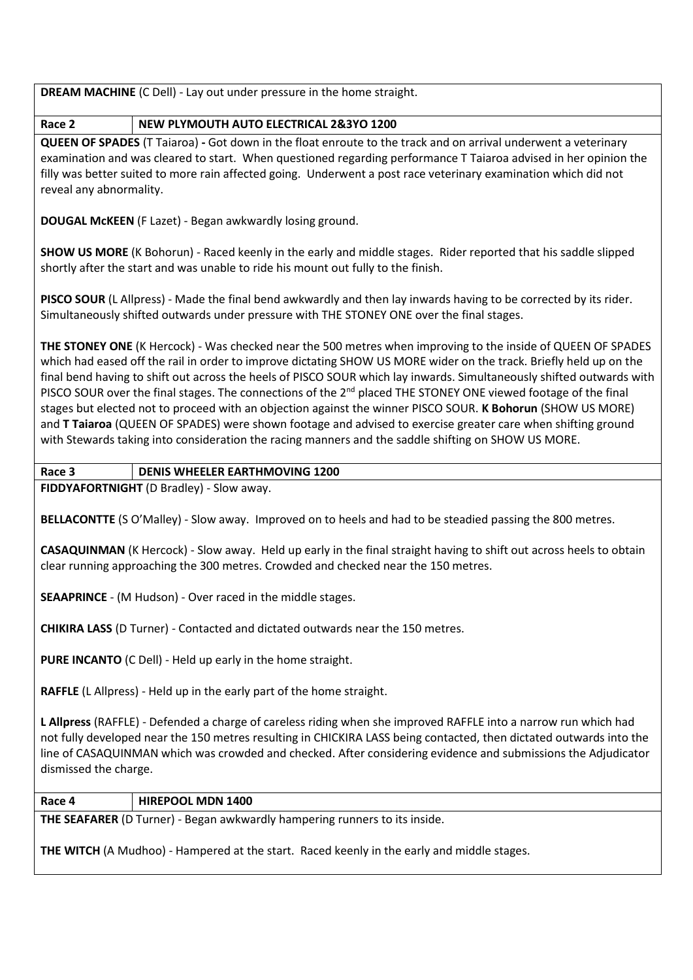**DREAM MACHINE** (C Dell) - Lay out under pressure in the home straight.

**Race 2 NEW PLYMOUTH AUTO ELECTRICAL 2&3YO 1200**

**QUEEN OF SPADES** (T Taiaroa) **-** Got down in the float enroute to the track and on arrival underwent a veterinary examination and was cleared to start. When questioned regarding performance T Taiaroa advised in her opinion the filly was better suited to more rain affected going. Underwent a post race veterinary examination which did not reveal any abnormality.

**DOUGAL McKEEN** (F Lazet) - Began awkwardly losing ground.

**SHOW US MORE** (K Bohorun) - Raced keenly in the early and middle stages. Rider reported that his saddle slipped shortly after the start and was unable to ride his mount out fully to the finish.

**PISCO SOUR** (L Allpress) - Made the final bend awkwardly and then lay inwards having to be corrected by its rider. Simultaneously shifted outwards under pressure with THE STONEY ONE over the final stages.

**THE STONEY ONE** (K Hercock) - Was checked near the 500 metres when improving to the inside of QUEEN OF SPADES which had eased off the rail in order to improve dictating SHOW US MORE wider on the track. Briefly held up on the final bend having to shift out across the heels of PISCO SOUR which lay inwards. Simultaneously shifted outwards with PISCO SOUR over the final stages. The connections of the 2<sup>nd</sup> placed THE STONEY ONE viewed footage of the final stages but elected not to proceed with an objection against the winner PISCO SOUR. **K Bohorun** (SHOW US MORE) and **T Taiaroa** (QUEEN OF SPADES) were shown footage and advised to exercise greater care when shifting ground with Stewards taking into consideration the racing manners and the saddle shifting on SHOW US MORE.

**Race 3 DENIS WHEELER EARTHMOVING 1200**

**FIDDYAFORTNIGHT** (D Bradley) - Slow away.

**BELLACONTTE** (S O'Malley) - Slow away. Improved on to heels and had to be steadied passing the 800 metres.

**CASAQUINMAN** (K Hercock) - Slow away. Held up early in the final straight having to shift out across heels to obtain clear running approaching the 300 metres. Crowded and checked near the 150 metres.

**SEAAPRINCE** - (M Hudson) - Over raced in the middle stages.

**CHIKIRA LASS** (D Turner) - Contacted and dictated outwards near the 150 metres.

**PURE INCANTO** (C Dell) - Held up early in the home straight.

**RAFFLE** (L Allpress) - Held up in the early part of the home straight.

**L Allpress** (RAFFLE) - Defended a charge of careless riding when she improved RAFFLE into a narrow run which had not fully developed near the 150 metres resulting in CHICKIRA LASS being contacted, then dictated outwards into the line of CASAQUINMAN which was crowded and checked. After considering evidence and submissions the Adjudicator dismissed the charge.

**Race 4 HIREPOOL MDN 1400**

**THE SEAFARER** (D Turner) - Began awkwardly hampering runners to its inside.

**THE WITCH** (A Mudhoo) - Hampered at the start. Raced keenly in the early and middle stages.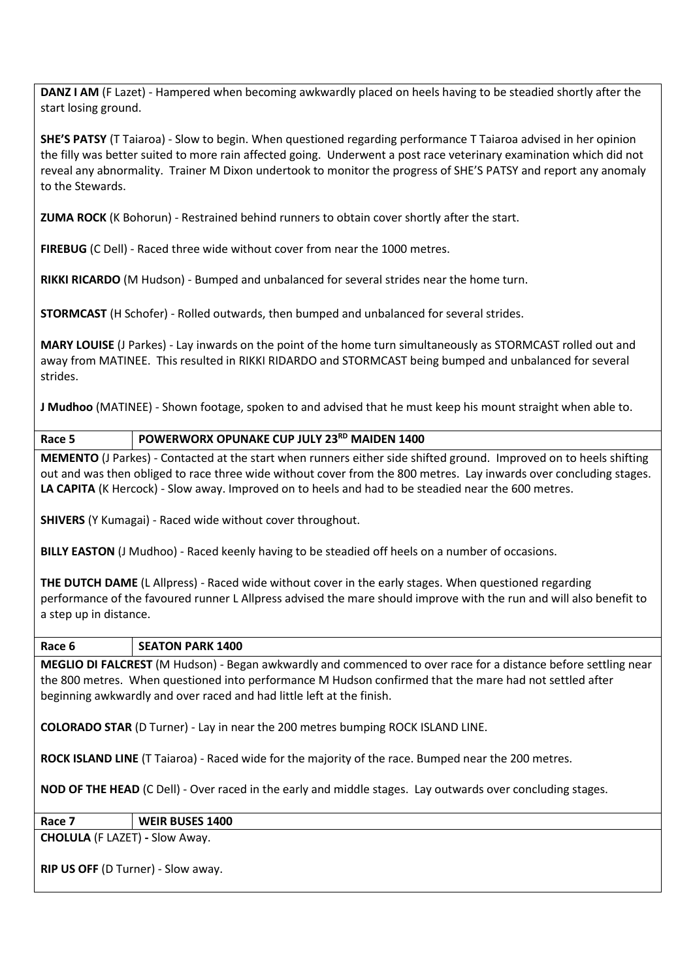**DANZ I AM** (F Lazet) - Hampered when becoming awkwardly placed on heels having to be steadied shortly after the start losing ground.

**SHE'S PATSY** (T Taiaroa) - Slow to begin. When questioned regarding performance T Taiaroa advised in her opinion the filly was better suited to more rain affected going. Underwent a post race veterinary examination which did not reveal any abnormality. Trainer M Dixon undertook to monitor the progress of SHE'S PATSY and report any anomaly to the Stewards.

**ZUMA ROCK** (K Bohorun) - Restrained behind runners to obtain cover shortly after the start.

**FIREBUG** (C Dell) - Raced three wide without cover from near the 1000 metres.

**RIKKI RICARDO** (M Hudson) - Bumped and unbalanced for several strides near the home turn.

**STORMCAST** (H Schofer) - Rolled outwards, then bumped and unbalanced for several strides.

**MARY LOUISE** (J Parkes) - Lay inwards on the point of the home turn simultaneously as STORMCAST rolled out and away from MATINEE. This resulted in RIKKI RIDARDO and STORMCAST being bumped and unbalanced for several strides.

**J Mudhoo** (MATINEE) - Shown footage, spoken to and advised that he must keep his mount straight when able to.

**Race 5 POWERWORX OPUNAKE CUP JULY 23RD MAIDEN 1400**

**MEMENTO** (J Parkes) - Contacted at the start when runners either side shifted ground. Improved on to heels shifting out and was then obliged to race three wide without cover from the 800 metres. Lay inwards over concluding stages. **LA CAPITA** (K Hercock) - Slow away. Improved on to heels and had to be steadied near the 600 metres.

**SHIVERS** (Y Kumagai) - Raced wide without cover throughout.

**BILLY EASTON** (J Mudhoo) - Raced keenly having to be steadied off heels on a number of occasions.

**THE DUTCH DAME** (L Allpress) - Raced wide without cover in the early stages. When questioned regarding performance of the favoured runner L Allpress advised the mare should improve with the run and will also benefit to a step up in distance.

**Race 6 SEATON PARK 1400**

**MEGLIO DI FALCREST** (M Hudson) - Began awkwardly and commenced to over race for a distance before settling near the 800 metres. When questioned into performance M Hudson confirmed that the mare had not settled after beginning awkwardly and over raced and had little left at the finish.

**COLORADO STAR** (D Turner) - Lay in near the 200 metres bumping ROCK ISLAND LINE.

**ROCK ISLAND LINE** (T Taiaroa) - Raced wide for the majority of the race. Bumped near the 200 metres.

**NOD OF THE HEAD** (C Dell) - Over raced in the early and middle stages. Lay outwards over concluding stages.

#### **Race 7 WEIR BUSES 1400**

**CHOLULA** (F LAZET) **-** Slow Away.

**RIP US OFF** (D Turner) - Slow away.